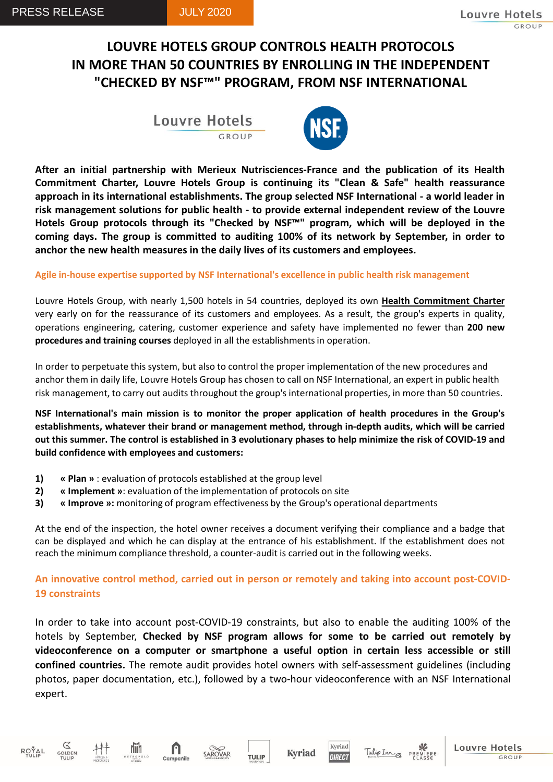# **LOUVRE HOTELS GROUP CONTROLS HEALTH PROTOCOLS IN MORE THAN 50 COUNTRIES BY ENROLLING IN THE INDEPENDENT "CHECKED BY NSF™" PROGRAM, FROM NSF INTERNATIONAL**

Louvre Hotels



**After an initial partnership with Merieux Nutrisciences-France and the publication of its Health Commitment Charter, Louvre Hotels Group is continuing its "Clean & Safe" health reassurance approach in its international establishments. The group selected NSF International - a world leader in risk management solutions for public health - to provide external independent review of the Louvre Hotels Group protocols through its "Checked by NSF™" program, which will be deployed in the coming days. The group is committed to auditing 100% of its network by September, in order to anchor the new health measures in the daily lives of its customers and employees.**

**Agile in-house expertise supported by NSF International's excellence in public health risk management**

Louvre Hotels Group, with nearly 1,500 hotels in 54 countries, deployed its own **Health Commitment Charter** very early on for the reassurance of its customers and employees. As a result, the group's experts in quality, operations engineering, catering, customer experience and safety have implemented no fewer than **200 new procedures and training courses** deployed in all the establishmentsin operation.

In order to perpetuate this system, but also to control the proper implementation of the new procedures and anchor them in daily life, Louvre Hotels Group has chosen to call on NSF International, an expert in public health risk management, to carry out audits throughout the group's international properties, in more than 50 countries.

**NSF International's main mission is to monitor the proper application of health procedures in the Group's establishments, whatever their brand or management method, through in-depth audits, which will be carried** out this summer. The control is established in 3 evolutionary phases to help minimize the risk of COVID-19 and **build confidence with employees and customers:**

- **1) « Plan »** : evaluation of protocols established at the group level
- **2) « Implement »**: evaluation of the implementation of protocols on site
- **3) « Improve »:** monitoring of program effectiveness by the Group's operational departments

At the end of the inspection, the hotel owner receives a document verifying their compliance and a badge that can be displayed and which he can display at the entrance of his establishment. If the establishment does not reach the minimum compliance threshold, a counter-audit is carried out in the following weeks.

## **An innovative control method, carried out in person or remotely and taking into account post-COVID-19 constraints**

In order to take into account post-COVID-19 constraints, but also to enable the auditing 100% of the hotels by September, **Checked by NSF program allows for some to be carried out remotely by videoconference on a computer or smartphone a useful option in certain less accessible or still confined countries.** The remote audit provides hotel owners with self-assessment guidelines (including photos, paper documentation, etc.), followed by a two-hour videoconference with an NSF International expert.







hiih